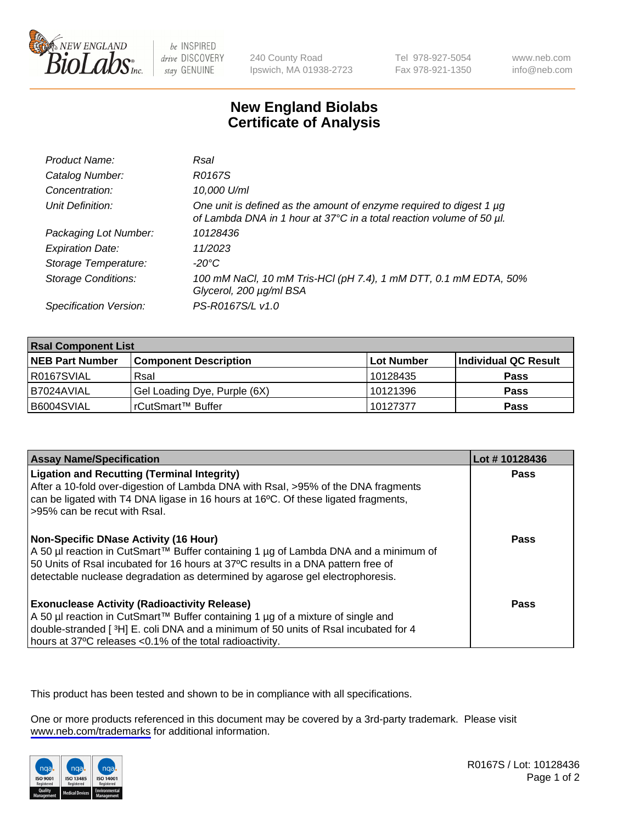

be INSPIRED drive DISCOVERY stay GENUINE

240 County Road Ipswich, MA 01938-2723 Tel 978-927-5054 Fax 978-921-1350

www.neb.com info@neb.com

## **New England Biolabs Certificate of Analysis**

| Product Name:              | Rsal                                                                                                                                        |
|----------------------------|---------------------------------------------------------------------------------------------------------------------------------------------|
| Catalog Number:            | R0167S                                                                                                                                      |
| Concentration:             | 10,000 U/ml                                                                                                                                 |
| Unit Definition:           | One unit is defined as the amount of enzyme required to digest 1 µg<br>of Lambda DNA in 1 hour at 37°C in a total reaction volume of 50 µl. |
| Packaging Lot Number:      | 10128436                                                                                                                                    |
| <b>Expiration Date:</b>    | 11/2023                                                                                                                                     |
| Storage Temperature:       | $-20^{\circ}$ C                                                                                                                             |
| <b>Storage Conditions:</b> | 100 mM NaCl, 10 mM Tris-HCl (pH 7.4), 1 mM DTT, 0.1 mM EDTA, 50%<br>Glycerol, 200 µg/ml BSA                                                 |
| Specification Version:     | PS-R0167S/L v1.0                                                                                                                            |

| <b>Rsal Component List</b> |                              |            |                      |  |  |
|----------------------------|------------------------------|------------|----------------------|--|--|
| <b>NEB Part Number</b>     | <b>Component Description</b> | Lot Number | Individual QC Result |  |  |
| R0167SVIAL                 | Rsal                         | 10128435   | <b>Pass</b>          |  |  |
| I B7024AVIAL               | Gel Loading Dye, Purple (6X) | 10121396   | <b>Pass</b>          |  |  |
| B6004SVIAL                 | rCutSmart™ Buffer            | 10127377   | <b>Pass</b>          |  |  |

| <b>Assay Name/Specification</b>                                                                                                                                                                                                                                                                     | Lot #10128436 |
|-----------------------------------------------------------------------------------------------------------------------------------------------------------------------------------------------------------------------------------------------------------------------------------------------------|---------------|
| <b>Ligation and Recutting (Terminal Integrity)</b><br>After a 10-fold over-digestion of Lambda DNA with Rsal, >95% of the DNA fragments<br>can be ligated with T4 DNA ligase in 16 hours at 16 <sup>o</sup> C. Of these ligated fragments,<br>l >95% can be recut with Rsal.                        | Pass          |
| Non-Specific DNase Activity (16 Hour)<br>  A 50 µl reaction in CutSmart™ Buffer containing 1 µg of Lambda DNA and a minimum of<br>50 Units of Rsal incubated for 16 hours at 37°C results in a DNA pattern free of<br>detectable nuclease degradation as determined by agarose gel electrophoresis. | Pass          |
| Exonuclease Activity (Radioactivity Release)<br>  A 50 µl reaction in CutSmart™ Buffer containing 1 µg of a mixture of single and<br>double-stranded [3H] E. coli DNA and a minimum of 50 units of Rsal incubated for 4<br>hours at 37°C releases <0.1% of the total radioactivity.                 | Pass          |

This product has been tested and shown to be in compliance with all specifications.

One or more products referenced in this document may be covered by a 3rd-party trademark. Please visit <www.neb.com/trademarks>for additional information.